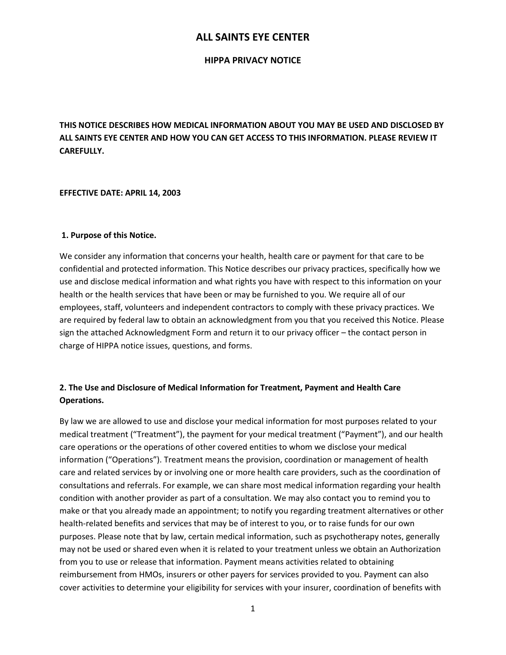#### **HIPPA PRIVACY NOTICE**

**THIS NOTICE DESCRIBES HOW MEDICAL INFORMATION ABOUT YOU MAY BE USED AND DISCLOSED BY ALL SAINTS EYE CENTER AND HOW YOU CAN GET ACCESS TO THIS INFORMATION. PLEASE REVIEW IT CAREFULLY.**

#### **EFFECTIVE DATE: APRIL 14, 2003**

#### **1. Purpose of this Notice.**

We consider any information that concerns your health, health care or payment for that care to be confidential and protected information. This Notice describes our privacy practices, specifically how we use and disclose medical information and what rights you have with respect to this information on your health or the health services that have been or may be furnished to you. We require all of our employees, staff, volunteers and independent contractors to comply with these privacy practices. We are required by federal law to obtain an acknowledgment from you that you received this Notice. Please sign the attached Acknowledgment Form and return it to our privacy officer – the contact person in charge of HIPPA notice issues, questions, and forms.

## **2. The Use and Disclosure of Medical Information for Treatment, Payment and Health Care Operations.**

By law we are allowed to use and disclose your medical information for most purposes related to your medical treatment ("Treatment"), the payment for your medical treatment ("Payment"), and our health care operations or the operations of other covered entities to whom we disclose your medical information ("Operations"). Treatment means the provision, coordination or management of health care and related services by or involving one or more health care providers, such as the coordination of consultations and referrals. For example, we can share most medical information regarding your health condition with another provider as part of a consultation. We may also contact you to remind you to make or that you already made an appointment; to notify you regarding treatment alternatives or other health-related benefits and services that may be of interest to you, or to raise funds for our own purposes. Please note that by law, certain medical information, such as psychotherapy notes, generally may not be used or shared even when it is related to your treatment unless we obtain an Authorization from you to use or release that information. Payment means activities related to obtaining reimbursement from HMOs, insurers or other payers for services provided to you. Payment can also cover activities to determine your eligibility for services with your insurer, coordination of benefits with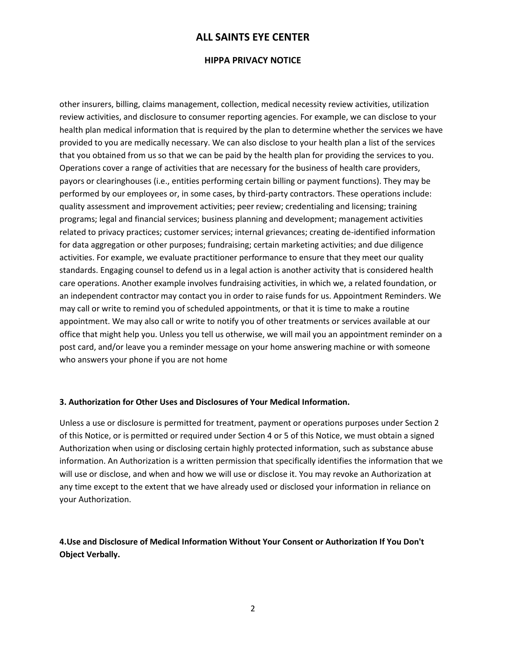#### **HIPPA PRIVACY NOTICE**

other insurers, billing, claims management, collection, medical necessity review activities, utilization review activities, and disclosure to consumer reporting agencies. For example, we can disclose to your health plan medical information that is required by the plan to determine whether the services we have provided to you are medically necessary. We can also disclose to your health plan a list of the services that you obtained from us so that we can be paid by the health plan for providing the services to you. Operations cover a range of activities that are necessary for the business of health care providers, payors or clearinghouses (i.e., entities performing certain billing or payment functions). They may be performed by our employees or, in some cases, by third-party contractors. These operations include: quality assessment and improvement activities; peer review; credentialing and licensing; training programs; legal and financial services; business planning and development; management activities related to privacy practices; customer services; internal grievances; creating de-identified information for data aggregation or other purposes; fundraising; certain marketing activities; and due diligence activities. For example, we evaluate practitioner performance to ensure that they meet our quality standards. Engaging counsel to defend us in a legal action is another activity that is considered health care operations. Another example involves fundraising activities, in which we, a related foundation, or an independent contractor may contact you in order to raise funds for us. Appointment Reminders. We may call or write to remind you of scheduled appointments, or that it is time to make a routine appointment. We may also call or write to notify you of other treatments or services available at our office that might help you. Unless you tell us otherwise, we will mail you an appointment reminder on a post card, and/or leave you a reminder message on your home answering machine or with someone who answers your phone if you are not home

#### **3. Authorization for Other Uses and Disclosures of Your Medical Information.**

Unless a use or disclosure is permitted for treatment, payment or operations purposes under Section 2 of this Notice, or is permitted or required under Section 4 or 5 of this Notice, we must obtain a signed Authorization when using or disclosing certain highly protected information, such as substance abuse information. An Authorization is a written permission that specifically identifies the information that we will use or disclose, and when and how we will use or disclose it. You may revoke an Authorization at any time except to the extent that we have already used or disclosed your information in reliance on your Authorization.

## **4.Use and Disclosure of Medical Information Without Your Consent or Authorization If You Don't Object Verbally.**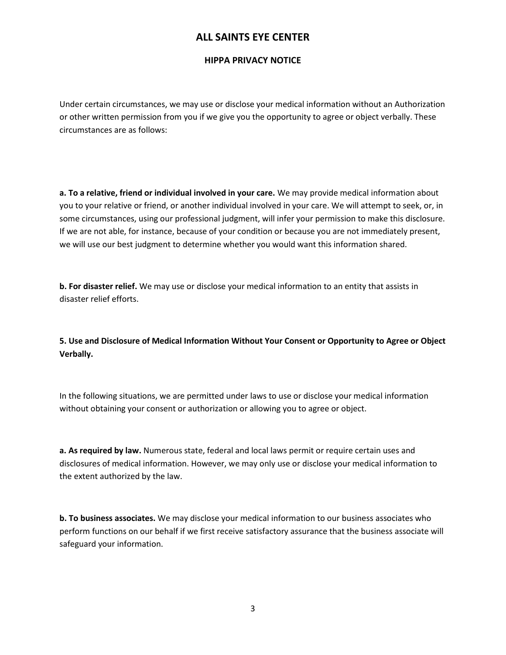### **HIPPA PRIVACY NOTICE**

Under certain circumstances, we may use or disclose your medical information without an Authorization or other written permission from you if we give you the opportunity to agree or object verbally. These circumstances are as follows:

**a. To a relative, friend or individual involved in your care.** We may provide medical information about you to your relative or friend, or another individual involved in your care. We will attempt to seek, or, in some circumstances, using our professional judgment, will infer your permission to make this disclosure. If we are not able, for instance, because of your condition or because you are not immediately present, we will use our best judgment to determine whether you would want this information shared.

**b. For disaster relief.** We may use or disclose your medical information to an entity that assists in disaster relief efforts.

**5. Use and Disclosure of Medical Information Without Your Consent or Opportunity to Agree or Object Verbally.** 

In the following situations, we are permitted under laws to use or disclose your medical information without obtaining your consent or authorization or allowing you to agree or object.

**a. As required by law.** Numerous state, federal and local laws permit or require certain uses and disclosures of medical information. However, we may only use or disclose your medical information to the extent authorized by the law.

**b. To business associates.** We may disclose your medical information to our business associates who perform functions on our behalf if we first receive satisfactory assurance that the business associate will safeguard your information.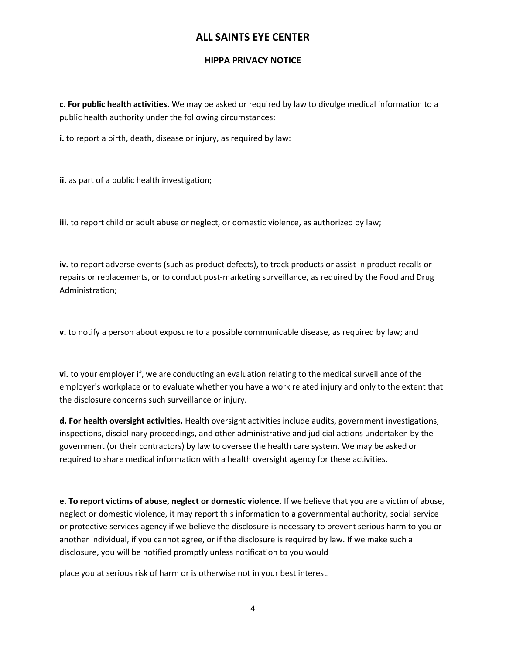## **HIPPA PRIVACY NOTICE**

**c. For public health activities.** We may be asked or required by law to divulge medical information to a public health authority under the following circumstances:

**i.** to report a birth, death, disease or injury, as required by law:

**ii.** as part of a public health investigation;

**iii.** to report child or adult abuse or neglect, or domestic violence, as authorized by law;

**iv.** to report adverse events (such as product defects), to track products or assist in product recalls or repairs or replacements, or to conduct post-marketing surveillance, as required by the Food and Drug Administration;

**v.** to notify a person about exposure to a possible communicable disease, as required by law; and

**vi.** to your employer if, we are conducting an evaluation relating to the medical surveillance of the employer's workplace or to evaluate whether you have a work related injury and only to the extent that the disclosure concerns such surveillance or injury.

**d. For health oversight activities.** Health oversight activities include audits, government investigations, inspections, disciplinary proceedings, and other administrative and judicial actions undertaken by the government (or their contractors) by law to oversee the health care system. We may be asked or required to share medical information with a health oversight agency for these activities.

**e. To report victims of abuse, neglect or domestic violence.** If we believe that you are a victim of abuse, neglect or domestic violence, it may report this information to a governmental authority, social service or protective services agency if we believe the disclosure is necessary to prevent serious harm to you or another individual, if you cannot agree, or if the disclosure is required by law. If we make such a disclosure, you will be notified promptly unless notification to you would

place you at serious risk of harm or is otherwise not in your best interest.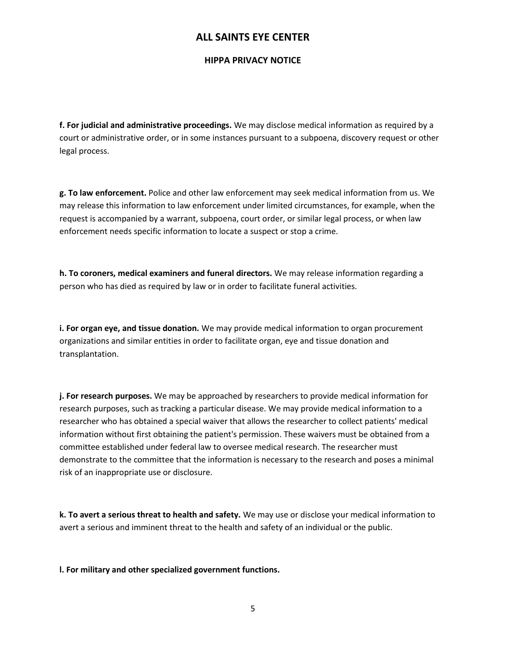## **HIPPA PRIVACY NOTICE**

**f. For judicial and administrative proceedings.** We may disclose medical information as required by a court or administrative order, or in some instances pursuant to a subpoena, discovery request or other legal process.

**g. To law enforcement.** Police and other law enforcement may seek medical information from us. We may release this information to law enforcement under limited circumstances, for example, when the request is accompanied by a warrant, subpoena, court order, or similar legal process, or when law enforcement needs specific information to locate a suspect or stop a crime.

**h. To coroners, medical examiners and funeral directors.** We may release information regarding a person who has died as required by law or in order to facilitate funeral activities.

**i. For organ eye, and tissue donation.** We may provide medical information to organ procurement organizations and similar entities in order to facilitate organ, eye and tissue donation and transplantation.

**j. For research purposes.** We may be approached by researchers to provide medical information for research purposes, such as tracking a particular disease. We may provide medical information to a researcher who has obtained a special waiver that allows the researcher to collect patients' medical information without first obtaining the patient's permission. These waivers must be obtained from a committee established under federal law to oversee medical research. The researcher must demonstrate to the committee that the information is necessary to the research and poses a minimal risk of an inappropriate use or disclosure.

**k. To avert a serious threat to health and safety.** We may use or disclose your medical information to avert a serious and imminent threat to the health and safety of an individual or the public.

**l. For military and other specialized government functions.**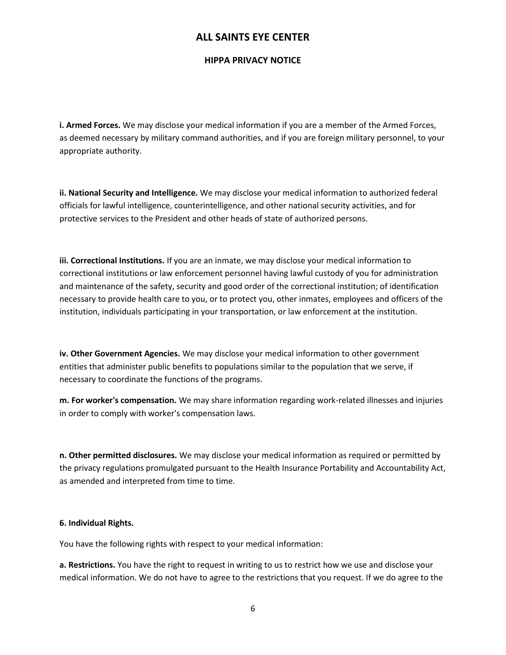## **HIPPA PRIVACY NOTICE**

**i. Armed Forces.** We may disclose your medical information if you are a member of the Armed Forces, as deemed necessary by military command authorities, and if you are foreign military personnel, to your appropriate authority.

**ii. National Security and Intelligence.** We may disclose your medical information to authorized federal officials for lawful intelligence, counterintelligence, and other national security activities, and for protective services to the President and other heads of state of authorized persons.

**iii. Correctional Institutions.** If you are an inmate, we may disclose your medical information to correctional institutions or law enforcement personnel having lawful custody of you for administration and maintenance of the safety, security and good order of the correctional institution; of identification necessary to provide health care to you, or to protect you, other inmates, employees and officers of the institution, individuals participating in your transportation, or law enforcement at the institution.

**iv. Other Government Agencies.** We may disclose your medical information to other government entities that administer public benefits to populations similar to the population that we serve, if necessary to coordinate the functions of the programs.

**m. For worker's compensation.** We may share information regarding work-related illnesses and injuries in order to comply with worker's compensation laws.

**n. Other permitted disclosures.** We may disclose your medical information as required or permitted by the privacy regulations promulgated pursuant to the Health Insurance Portability and Accountability Act, as amended and interpreted from time to time.

#### **6. Individual Rights.**

You have the following rights with respect to your medical information:

**a. Restrictions.** You have the right to request in writing to us to restrict how we use and disclose your medical information. We do not have to agree to the restrictions that you request. If we do agree to the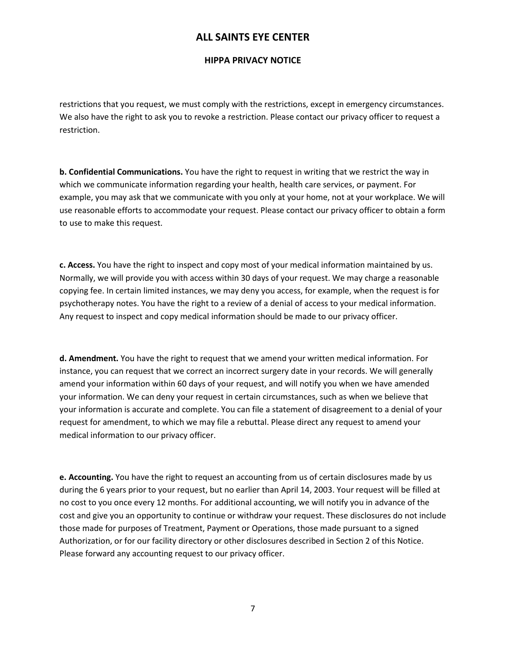## **HIPPA PRIVACY NOTICE**

restrictions that you request, we must comply with the restrictions, except in emergency circumstances. We also have the right to ask you to revoke a restriction. Please contact our privacy officer to request a restriction.

**b. Confidential Communications.** You have the right to request in writing that we restrict the way in which we communicate information regarding your health, health care services, or payment. For example, you may ask that we communicate with you only at your home, not at your workplace. We will use reasonable efforts to accommodate your request. Please contact our privacy officer to obtain a form to use to make this request.

**c. Access.** You have the right to inspect and copy most of your medical information maintained by us. Normally, we will provide you with access within 30 days of your request. We may charge a reasonable copying fee. In certain limited instances, we may deny you access, for example, when the request is for psychotherapy notes. You have the right to a review of a denial of access to your medical information. Any request to inspect and copy medical information should be made to our privacy officer.

**d. Amendment.** You have the right to request that we amend your written medical information. For instance, you can request that we correct an incorrect surgery date in your records. We will generally amend your information within 60 days of your request, and will notify you when we have amended your information. We can deny your request in certain circumstances, such as when we believe that your information is accurate and complete. You can file a statement of disagreement to a denial of your request for amendment, to which we may file a rebuttal. Please direct any request to amend your medical information to our privacy officer.

**e. Accounting.** You have the right to request an accounting from us of certain disclosures made by us during the 6 years prior to your request, but no earlier than April 14, 2003. Your request will be filled at no cost to you once every 12 months. For additional accounting, we will notify you in advance of the cost and give you an opportunity to continue or withdraw your request. These disclosures do not include those made for purposes of Treatment, Payment or Operations, those made pursuant to a signed Authorization, or for our facility directory or other disclosures described in Section 2 of this Notice. Please forward any accounting request to our privacy officer.